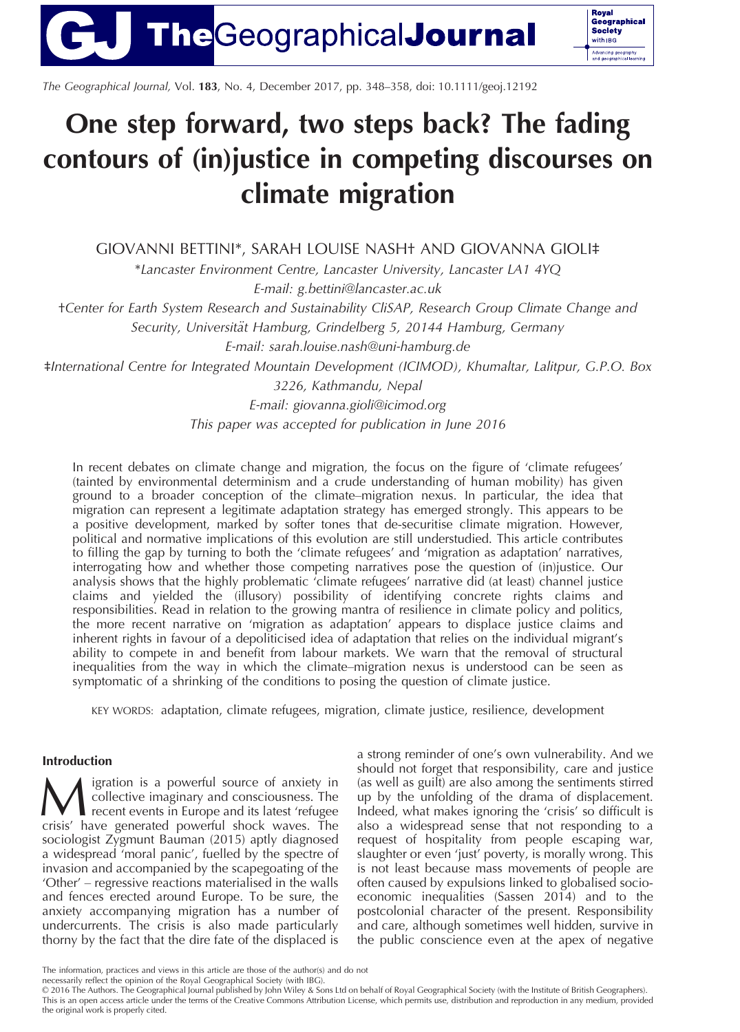**J The**GeographicalJournal



The Geographical Journal, Vol. 183, No. 4, December 2017, pp. 348–358, doi: 10.1111/geoj.12192

# One step forward, two steps back? The fading contours of (in)justice in competing discourses on climate migration

GIOVANNI BETTINI\*, SARAH LOUISE NASH† AND GIOVANNA GIOLI‡

\*Lancaster Environment Centre, Lancaster University, Lancaster LA1 4YQ E-mail: g.bettini@lancaster.ac.uk

†Center for Earth System Research and Sustainability CliSAP, Research Group Climate Change and Security, Universität Hamburg, Grindelberg 5, 20144 Hamburg, Germany

E-mail: sarah.louise.nash@uni-hamburg.de

‡International Centre for Integrated Mountain Development (ICIMOD), Khumaltar, Lalitpur, G.P.O. Box

3226, Kathmandu, Nepal E-mail: giovanna.gioli@icimod.org This paper was accepted for publication in June 2016

In recent debates on climate change and migration, the focus on the figure of 'climate refugees' (tainted by environmental determinism and a crude understanding of human mobility) has given ground to a broader conception of the climate–migration nexus. In particular, the idea that migration can represent a legitimate adaptation strategy has emerged strongly. This appears to be a positive development, marked by softer tones that de-securitise climate migration. However, political and normative implications of this evolution are still understudied. This article contributes to filling the gap by turning to both the 'climate refugees' and 'migration as adaptation' narratives, interrogating how and whether those competing narratives pose the question of (in)justice. Our analysis shows that the highly problematic 'climate refugees' narrative did (at least) channel justice claims and yielded the (illusory) possibility of identifying concrete rights claims and responsibilities. Read in relation to the growing mantra of resilience in climate policy and politics, the more recent narrative on 'migration as adaptation' appears to displace justice claims and inherent rights in favour of a depoliticised idea of adaptation that relies on the individual migrant's ability to compete in and benefit from labour markets. We warn that the removal of structural inequalities from the way in which the climate–migration nexus is understood can be seen as symptomatic of a shrinking of the conditions to posing the question of climate justice.

KEY WORDS: adaptation, climate refugees, migration, climate justice, resilience, development

#### Introduction

**M** igration is a powerful source of anxiety in collective imaginary and consciousness. The recent events in Europe and its latest 'refugee crisis' have generated powerful shock waves. The collective imaginary and consciousness. The recent events in Europe and its latest 'refugee sociologist Zygmunt Bauman (2015) aptly diagnosed a widespread 'moral panic', fuelled by the spectre of invasion and accompanied by the scapegoating of the 'Other' – regressive reactions materialised in the walls and fences erected around Europe. To be sure, the anxiety accompanying migration has a number of undercurrents. The crisis is also made particularly thorny by the fact that the dire fate of the displaced is

a strong reminder of one's own vulnerability. And we should not forget that responsibility, care and justice (as well as guilt) are also among the sentiments stirred up by the unfolding of the drama of displacement. Indeed, what makes ignoring the 'crisis' so difficult is also a widespread sense that not responding to a request of hospitality from people escaping war, slaughter or even 'just' poverty, is morally wrong. This is not least because mass movements of people are often caused by expulsions linked to globalised socioeconomic inequalities (Sassen 2014) and to the postcolonial character of the present. Responsibility and care, although sometimes well hidden, survive in the public conscience even at the apex of negative

The information, practices and views in this article are those of the author(s) and do not

necessarily reflect the opinion of the Royal Geographical Society (with IBG).<br>© 2016 The Authors. The Geographical Journal published by John Wiley & Sons Ltd on behalf of Royal Geographical Society (with the Institute of B This is an open access article under the terms of the Creative Commons Attribution License, which permits use, distribution and reproduction in any medium, provided the original work is properly cited.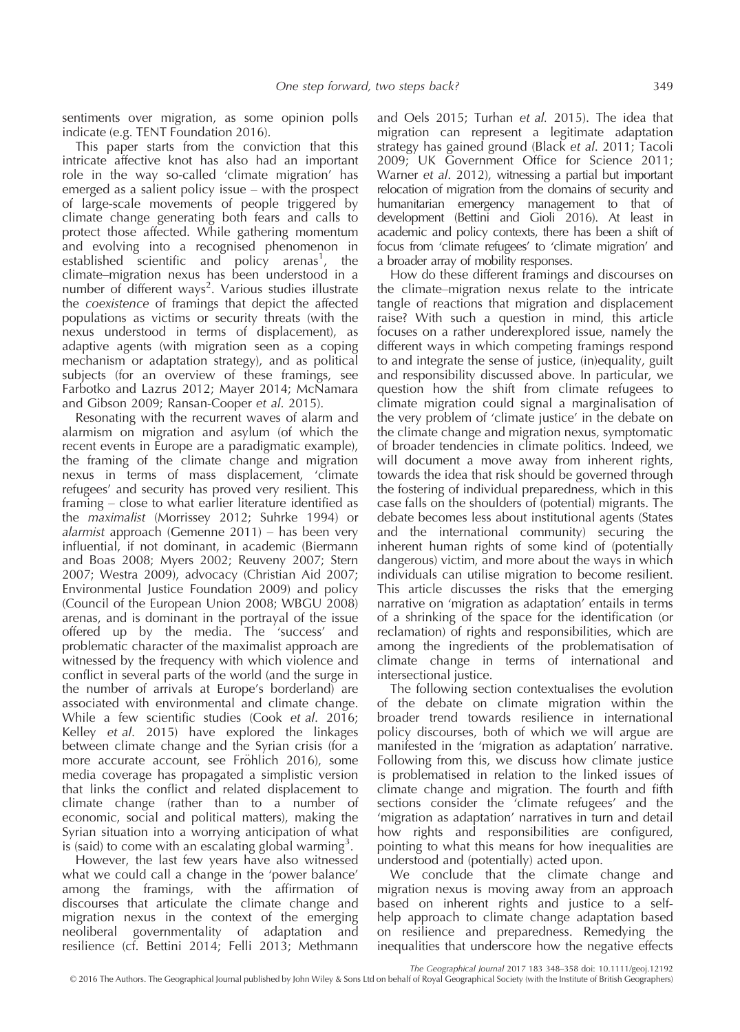sentiments over migration, as some opinion polls indicate (e.g. TENT Foundation 2016).

This paper starts from the conviction that this intricate affective knot has also had an important role in the way so-called 'climate migration' has emerged as a salient policy issue – with the prospect of large-scale movements of people triggered by climate change generating both fears and calls to protect those affected. While gathering momentum and evolving into a recognised phenomenon in established scientific and policy arenas<sup>1</sup>, the climate–migration nexus has been understood in a number of different ways<sup>2</sup>. Various studies illustrate the coexistence of framings that depict the affected populations as victims or security threats (with the nexus understood in terms of displacement), as adaptive agents (with migration seen as a coping mechanism or adaptation strategy), and as political subjects (for an overview of these framings, see Farbotko and Lazrus 2012; Mayer 2014; McNamara and Gibson 2009; Ransan-Cooper et al. 2015).

Resonating with the recurrent waves of alarm and alarmism on migration and asylum (of which the recent events in Europe are a paradigmatic example), the framing of the climate change and migration nexus in terms of mass displacement, 'climate refugees' and security has proved very resilient. This framing – close to what earlier literature identified as the maximalist (Morrissey 2012; Suhrke 1994) or alarmist approach (Gemenne 2011) – has been very influential, if not dominant, in academic (Biermann and Boas 2008; Myers 2002; Reuveny 2007; Stern 2007; Westra 2009), advocacy (Christian Aid 2007; Environmental Justice Foundation 2009) and policy (Council of the European Union 2008; WBGU 2008) arenas, and is dominant in the portrayal of the issue offered up by the media. The 'success' and problematic character of the maximalist approach are witnessed by the frequency with which violence and conflict in several parts of the world (and the surge in the number of arrivals at Europe's borderland) are associated with environmental and climate change. While a few scientific studies (Cook et al. 2016; Kelley et al. 2015) have explored the linkages between climate change and the Syrian crisis (for a more accurate account, see Fröhlich 2016), some media coverage has propagated a simplistic version that links the conflict and related displacement to climate change (rather than to a number of economic, social and political matters), making the Syrian situation into a worrying anticipation of what is (said) to come with an escalating global warming<sup>3</sup>.

However, the last few years have also witnessed what we could call a change in the 'power balance' among the framings, with the affirmation of discourses that articulate the climate change and migration nexus in the context of the emerging neoliberal governmentality of adaptation and resilience (cf. Bettini 2014; Felli 2013; Methmann

and Oels 2015; Turhan et al. 2015). The idea that migration can represent a legitimate adaptation strategy has gained ground (Black et al. 2011; Tacoli 2009; UK Government Office for Science 2011; Warner et al. 2012), witnessing a partial but important relocation of migration from the domains of security and humanitarian emergency management to that of development (Bettini and Gioli 2016). At least in academic and policy contexts, there has been a shift of focus from 'climate refugees' to 'climate migration' and a broader array of mobility responses.

How do these different framings and discourses on the climate–migration nexus relate to the intricate tangle of reactions that migration and displacement raise? With such a question in mind, this article focuses on a rather underexplored issue, namely the different ways in which competing framings respond to and integrate the sense of justice, (in)equality, guilt and responsibility discussed above. In particular, we question how the shift from climate refugees to climate migration could signal a marginalisation of the very problem of 'climate justice' in the debate on the climate change and migration nexus, symptomatic of broader tendencies in climate politics. Indeed, we will document a move away from inherent rights, towards the idea that risk should be governed through the fostering of individual preparedness, which in this case falls on the shoulders of (potential) migrants. The debate becomes less about institutional agents (States and the international community) securing the inherent human rights of some kind of (potentially dangerous) victim, and more about the ways in which individuals can utilise migration to become resilient. This article discusses the risks that the emerging narrative on 'migration as adaptation' entails in terms of a shrinking of the space for the identification (or reclamation) of rights and responsibilities, which are among the ingredients of the problematisation of climate change in terms of international and intersectional justice.

The following section contextualises the evolution of the debate on climate migration within the broader trend towards resilience in international policy discourses, both of which we will argue are manifested in the 'migration as adaptation' narrative. Following from this, we discuss how climate justice is problematised in relation to the linked issues of climate change and migration. The fourth and fifth sections consider the 'climate refugees' and the 'migration as adaptation' narratives in turn and detail how rights and responsibilities are configured, pointing to what this means for how inequalities are understood and (potentially) acted upon.

We conclude that the climate change and migration nexus is moving away from an approach based on inherent rights and justice to a selfhelp approach to climate change adaptation based on resilience and preparedness. Remedying the inequalities that underscore how the negative effects

The Geographical Journal 2017 183 348–358 doi: 10.1111/geoj.12192

<sup>© 2016</sup> The Authors. The Geographical Journal published by John Wiley & Sons Ltd on behalf of Royal Geographical Society (with the Institute of British Geographers)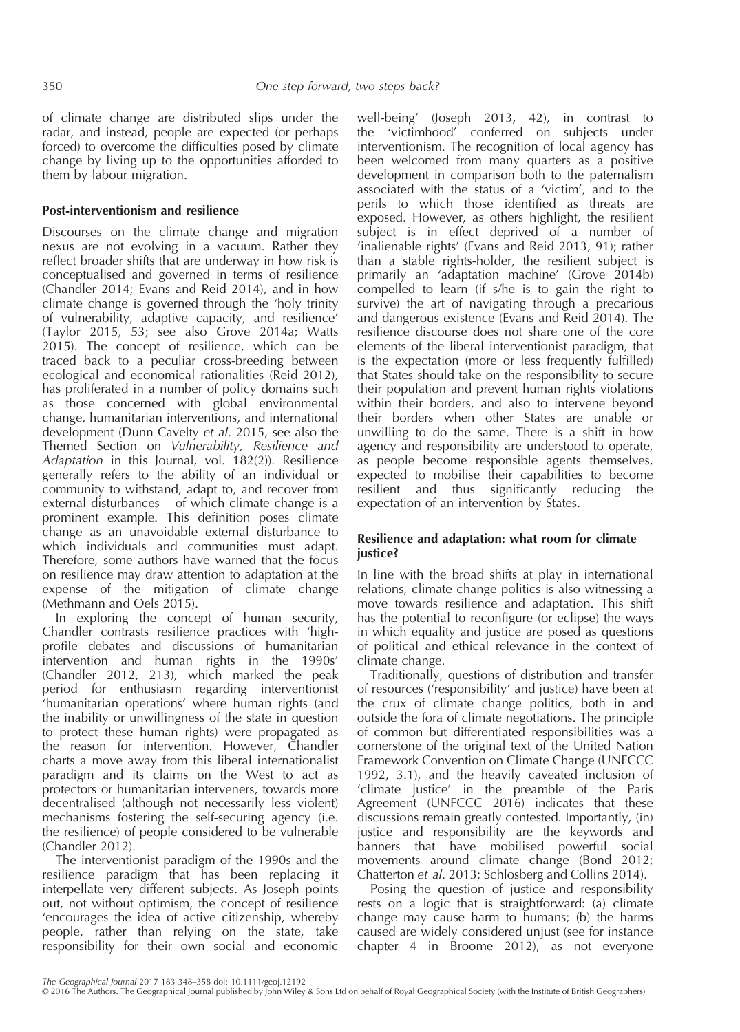of climate change are distributed slips under the radar, and instead, people are expected (or perhaps forced) to overcome the difficulties posed by climate change by living up to the opportunities afforded to them by labour migration.

## Post-interventionism and resilience

Discourses on the climate change and migration nexus are not evolving in a vacuum. Rather they reflect broader shifts that are underway in how risk is conceptualised and governed in terms of resilience (Chandler 2014; Evans and Reid 2014), and in how climate change is governed through the 'holy trinity of vulnerability, adaptive capacity, and resilience' (Taylor 2015, 53; see also Grove 2014a; Watts 2015). The concept of resilience, which can be traced back to a peculiar cross-breeding between ecological and economical rationalities (Reid 2012), has proliferated in a number of policy domains such as those concerned with global environmental change, humanitarian interventions, and international development (Dunn Cavelty et al. 2015, see also the Themed Section on Vulnerability, Resilience and Adaptation in this Journal, vol. 182(2)). Resilience generally refers to the ability of an individual or community to withstand, adapt to, and recover from external disturbances – of which climate change is a prominent example. This definition poses climate change as an unavoidable external disturbance to which individuals and communities must adapt. Therefore, some authors have warned that the focus on resilience may draw attention to adaptation at the expense of the mitigation of climate change (Methmann and Oels 2015).

In exploring the concept of human security, Chandler contrasts resilience practices with 'highprofile debates and discussions of humanitarian intervention and human rights in the 1990s' (Chandler 2012, 213), which marked the peak period for enthusiasm regarding interventionist 'humanitarian operations' where human rights (and the inability or unwillingness of the state in question to protect these human rights) were propagated as the reason for intervention. However, Chandler charts a move away from this liberal internationalist paradigm and its claims on the West to act as protectors or humanitarian interveners, towards more decentralised (although not necessarily less violent) mechanisms fostering the self-securing agency (i.e. the resilience) of people considered to be vulnerable (Chandler 2012).

The interventionist paradigm of the 1990s and the resilience paradigm that has been replacing it interpellate very different subjects. As Joseph points out, not without optimism, the concept of resilience 'encourages the idea of active citizenship, whereby people, rather than relying on the state, take responsibility for their own social and economic

well-being' (Joseph 2013, 42), in contrast to the 'victimhood' conferred on subjects under interventionism. The recognition of local agency has been welcomed from many quarters as a positive development in comparison both to the paternalism associated with the status of a 'victim', and to the perils to which those identified as threats are exposed. However, as others highlight, the resilient subject is in effect deprived of a number of 'inalienable rights' (Evans and Reid 2013, 91); rather than a stable rights-holder, the resilient subject is primarily an 'adaptation machine' (Grove 2014b) compelled to learn (if s/he is to gain the right to survive) the art of navigating through a precarious and dangerous existence (Evans and Reid 2014). The resilience discourse does not share one of the core elements of the liberal interventionist paradigm, that is the expectation (more or less frequently fulfilled) that States should take on the responsibility to secure their population and prevent human rights violations within their borders, and also to intervene beyond their borders when other States are unable or unwilling to do the same. There is a shift in how agency and responsibility are understood to operate, as people become responsible agents themselves, expected to mobilise their capabilities to become resilient and thus significantly reducing the expectation of an intervention by States.

## Resilience and adaptation: what room for climate justice?

In line with the broad shifts at play in international relations, climate change politics is also witnessing a move towards resilience and adaptation. This shift has the potential to reconfigure (or eclipse) the ways in which equality and justice are posed as questions of political and ethical relevance in the context of climate change.

Traditionally, questions of distribution and transfer of resources ('responsibility' and justice) have been at the crux of climate change politics, both in and outside the fora of climate negotiations. The principle of common but differentiated responsibilities was a cornerstone of the original text of the United Nation Framework Convention on Climate Change (UNFCCC 1992, 3.1), and the heavily caveated inclusion of 'climate justice' in the preamble of the Paris Agreement (UNFCCC 2016) indicates that these discussions remain greatly contested. Importantly, (in) justice and responsibility are the keywords and banners that have mobilised powerful social movements around climate change (Bond 2012; Chatterton et al. 2013; Schlosberg and Collins 2014).

Posing the question of justice and responsibility rests on a logic that is straightforward: (a) climate change may cause harm to humans; (b) the harms caused are widely considered unjust (see for instance chapter 4 in Broome 2012), as not everyone

The Geographical Journal 2017 183 348–358 doi: 10.1111/geoj.12192

<sup>© 2016</sup> The Authors. The Geographical Journal published by John Wiley & Sons Ltd on behalf of Royal Geographical Society (with the Institute of British Geographers)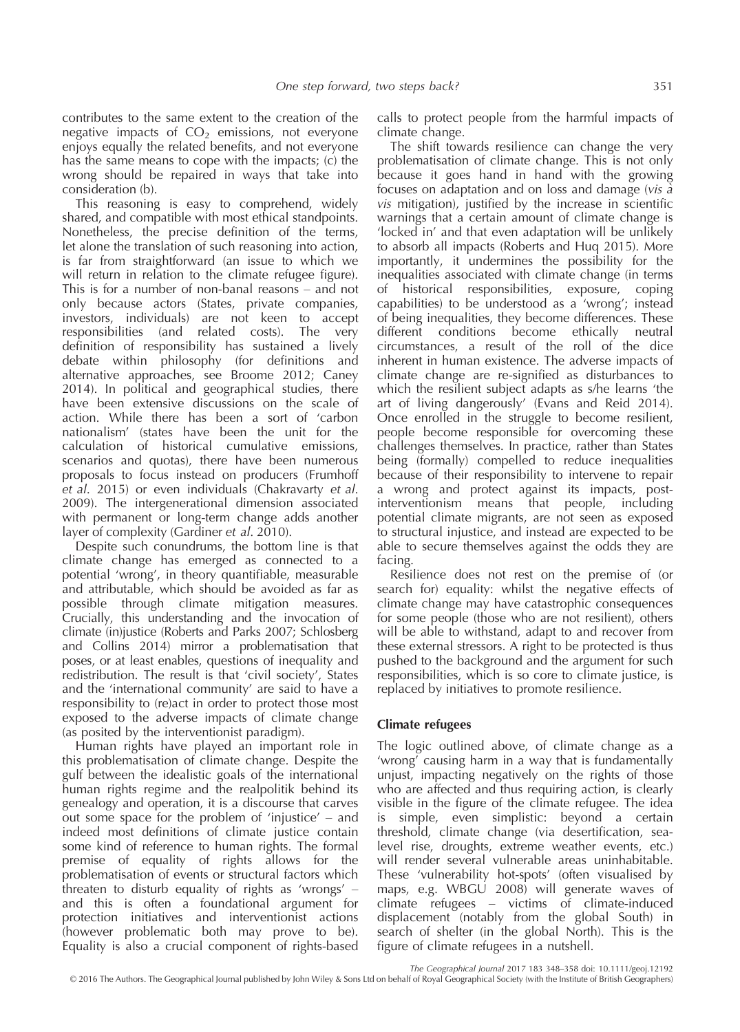contributes to the same extent to the creation of the negative impacts of  $CO<sub>2</sub>$  emissions, not everyone enjoys equally the related benefits, and not everyone has the same means to cope with the impacts; (c) the wrong should be repaired in ways that take into consideration (b).

This reasoning is easy to comprehend, widely shared, and compatible with most ethical standpoints. Nonetheless, the precise definition of the terms, let alone the translation of such reasoning into action, is far from straightforward (an issue to which we will return in relation to the climate refugee figure). This is for a number of non-banal reasons – and not only because actors (States, private companies, investors, individuals) are not keen to accept responsibilities (and related costs). The very definition of responsibility has sustained a lively debate within philosophy (for definitions and alternative approaches, see Broome 2012; Caney 2014). In political and geographical studies, there have been extensive discussions on the scale of action. While there has been a sort of 'carbon nationalism' (states have been the unit for the calculation of historical cumulative emissions, scenarios and quotas), there have been numerous proposals to focus instead on producers (Frumhoff et al. 2015) or even individuals (Chakravarty et al. 2009). The intergenerational dimension associated with permanent or long-term change adds another layer of complexity (Gardiner et al. 2010).

Despite such conundrums, the bottom line is that climate change has emerged as connected to a potential 'wrong', in theory quantifiable, measurable and attributable, which should be avoided as far as possible through climate mitigation measures. Crucially, this understanding and the invocation of climate (in)justice (Roberts and Parks 2007; Schlosberg and Collins 2014) mirror a problematisation that poses, or at least enables, questions of inequality and redistribution. The result is that 'civil society', States and the 'international community' are said to have a responsibility to (re)act in order to protect those most exposed to the adverse impacts of climate change (as posited by the interventionist paradigm).

Human rights have played an important role in this problematisation of climate change. Despite the gulf between the idealistic goals of the international human rights regime and the realpolitik behind its genealogy and operation, it is a discourse that carves out some space for the problem of 'injustice' – and indeed most definitions of climate justice contain some kind of reference to human rights. The formal premise of equality of rights allows for the problematisation of events or structural factors which threaten to disturb equality of rights as 'wrongs' – and this is often a foundational argument for protection initiatives and interventionist actions (however problematic both may prove to be). Equality is also a crucial component of rights-based

calls to protect people from the harmful impacts of climate change.

The shift towards resilience can change the very problematisation of climate change. This is not only because it goes hand in hand with the growing focuses on adaptation and on loss and damage (vis  $\tilde{a}$ vis mitigation), justified by the increase in scientific warnings that a certain amount of climate change is 'locked in' and that even adaptation will be unlikely to absorb all impacts (Roberts and Huq 2015). More importantly, it undermines the possibility for the inequalities associated with climate change (in terms of historical responsibilities, exposure, coping capabilities) to be understood as a 'wrong'; instead of being inequalities, they become differences. These different conditions become ethically neutral circumstances, a result of the roll of the dice inherent in human existence. The adverse impacts of climate change are re-signified as disturbances to which the resilient subject adapts as s/he learns 'the art of living dangerously' (Evans and Reid 2014). Once enrolled in the struggle to become resilient, people become responsible for overcoming these challenges themselves. In practice, rather than States being (formally) compelled to reduce inequalities because of their responsibility to intervene to repair a wrong and protect against its impacts, postinterventionism means that people, including potential climate migrants, are not seen as exposed to structural injustice, and instead are expected to be able to secure themselves against the odds they are facing.

Resilience does not rest on the premise of (or search for) equality: whilst the negative effects of climate change may have catastrophic consequences for some people (those who are not resilient), others will be able to withstand, adapt to and recover from these external stressors. A right to be protected is thus pushed to the background and the argument for such responsibilities, which is so core to climate justice, is replaced by initiatives to promote resilience.

#### Climate refugees

The logic outlined above, of climate change as a 'wrong' causing harm in a way that is fundamentally unjust, impacting negatively on the rights of those who are affected and thus requiring action, is clearly visible in the figure of the climate refugee. The idea is simple, even simplistic: beyond a certain threshold, climate change (via desertification, sealevel rise, droughts, extreme weather events, etc.) will render several vulnerable areas uninhabitable. These 'vulnerability hot-spots' (often visualised by maps, e.g. WBGU 2008) will generate waves of climate refugees – victims of climate-induced displacement (notably from the global South) in search of shelter (in the global North). This is the figure of climate refugees in a nutshell.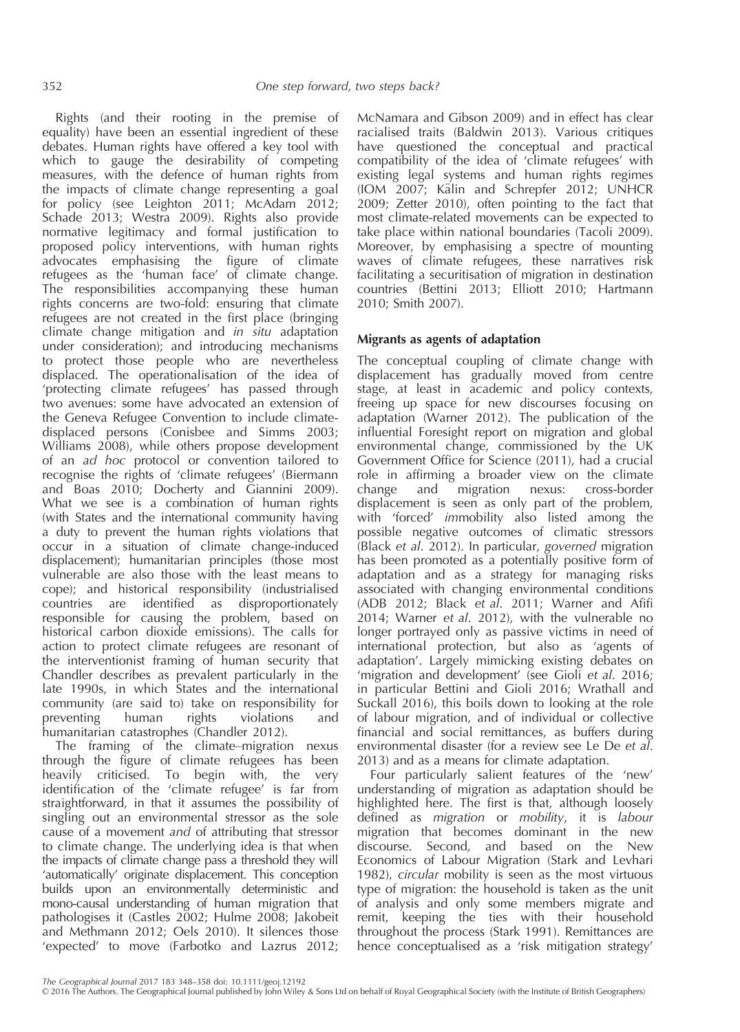Rights (and their rooting in the premise of equality) have been an essential ingredient of these debates. Human rights have offered a key tool with which to gauge the desirability of competing measures, with the defence of human rights from the impacts of climate change representing a goal for policy (see Leighton 2011; McAdam 2012; Schade 2013; Westra 2009). Rights also provide normative legitimacy and formal justification to proposed policy interventions, with human rights advocates emphasising the figure of climate refugees as the 'human face' of climate change. The responsibilities accompanying these human rights concerns are two-fold: ensuring that climate refugees are not created in the first place (bringing climate change mitigation and in situ adaptation under consideration); and introducing mechanisms to protect those people who are nevertheless displaced. The operationalisation of the idea of 'protecting climate refugees' has passed through two avenues: some have advocated an extension of the Geneva Refugee Convention to include climatedisplaced persons (Conisbee and Simms 2003; Williams 2008), while others propose development of an ad hoc protocol or convention tailored to recognise the rights of 'climate refugees' (Biermann and Boas 2010; Docherty and Giannini 2009). What we see is a combination of human rights (with States and the international community having a duty to prevent the human rights violations that occur in a situation of climate change-induced displacement); humanitarian principles (those most vulnerable are also those with the least means to cope); and historical responsibility (industrialised countries are identified as disproportionately responsible for causing the problem, based on historical carbon dioxide emissions). The calls for action to protect climate refugees are resonant of the interventionist framing of human security that Chandler describes as prevalent particularly in the late 1990s, in which States and the international community (are said to) take on responsibility for preventing human rights violations and humanitarian catastrophes (Chandler 2012).

The framing of the climate–migration nexus through the figure of climate refugees has been heavily criticised. To begin with, the very identification of the 'climate refugee' is far from straightforward, in that it assumes the possibility of singling out an environmental stressor as the sole cause of a movement and of attributing that stressor to climate change. The underlying idea is that when the impacts of climate change pass a threshold they will 'automatically' originate displacement. This conception builds upon an environmentally deterministic and mono-causal understanding of human migration that pathologises it (Castles 2002; Hulme 2008; Jakobeit and Methmann 2012; Oels 2010). It silences those 'expected' to move (Farbotko and Lazrus 2012;

McNamara and Gibson 2009) and in effect has clear racialised traits (Baldwin 2013). Various critiques have questioned the conceptual and practical compatibility of the idea of 'climate refugees' with existing legal systems and human rights regimes (IOM 2007; Kälin and Schrepfer 2012; UNHCR 2009; Zetter 2010), often pointing to the fact that most climate-related movements can be expected to take place within national boundaries (Tacoli 2009). Moreover, by emphasising a spectre of mounting waves of climate refugees, these narratives risk facilitating a securitisation of migration in destination countries (Bettini 2013; Elliott 2010; Hartmann 2010; Smith 2007).

# Migrants as agents of adaptation

The conceptual coupling of climate change with displacement has gradually moved from centre stage, at least in academic and policy contexts, freeing up space for new discourses focusing on adaptation (Warner 2012). The publication of the influential Foresight report on migration and global environmental change, commissioned by the UK Government Office for Science (2011), had a crucial role in affirming a broader view on the climate change and migration nexus: cross-border displacement is seen as only part of the problem, with 'forced' *im*mobility also listed among the possible negative outcomes of climatic stressors (Black et al. 2012). In particular, governed migration has been promoted as a potentially positive form of adaptation and as a strategy for managing risks associated with changing environmental conditions (ADB 2012; Black et al. 2011; Warner and Afifi 2014; Warner et al. 2012), with the vulnerable no longer portrayed only as passive victims in need of international protection, but also as 'agents of adaptation'. Largely mimicking existing debates on 'migration and development' (see Gioli et al. 2016; in particular Bettini and Gioli 2016; Wrathall and Suckall 2016), this boils down to looking at the role of labour migration, and of individual or collective financial and social remittances, as buffers during environmental disaster (for a review see Le De et al. 2013) and as a means for climate adaptation.

Four particularly salient features of the 'new' understanding of migration as adaptation should be highlighted here. The first is that, although loosely defined as *migration* or *mobility*, it is labour migration that becomes dominant in the new discourse. Second, and based on the New Economics of Labour Migration (Stark and Levhari 1982), circular mobility is seen as the most virtuous type of migration: the household is taken as the unit of analysis and only some members migrate and remit, keeping the ties with their household throughout the process (Stark 1991). Remittances are hence conceptualised as a 'risk mitigation strategy'

<sup>© 2016</sup> The Authors. The Geographical Journal published by John Wiley & Sons Ltd on behalf of Royal Geographical Society (with the Institute of British Geographers)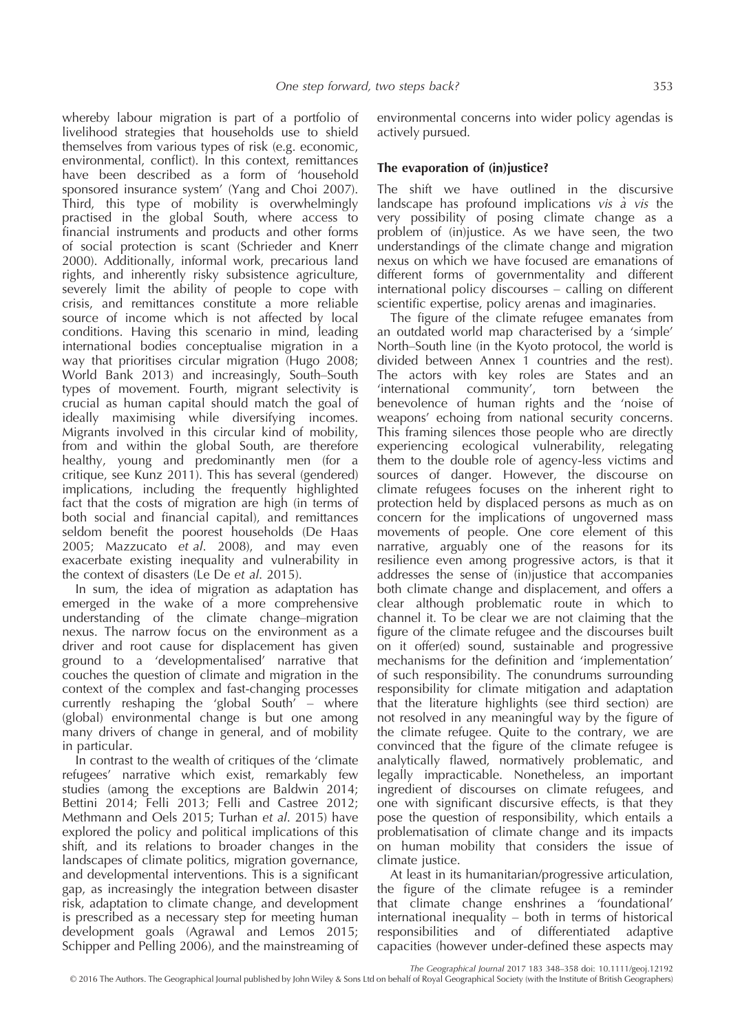whereby labour migration is part of a portfolio of livelihood strategies that households use to shield themselves from various types of risk (e.g. economic, environmental, conflict). In this context, remittances have been described as a form of 'household sponsored insurance system' (Yang and Choi 2007). Third, this type of mobility is overwhelmingly practised in the global South, where access to financial instruments and products and other forms of social protection is scant (Schrieder and Knerr 2000). Additionally, informal work, precarious land rights, and inherently risky subsistence agriculture, severely limit the ability of people to cope with crisis, and remittances constitute a more reliable source of income which is not affected by local conditions. Having this scenario in mind, leading international bodies conceptualise migration in a way that prioritises circular migration (Hugo 2008; World Bank 2013) and increasingly, South–South types of movement. Fourth, migrant selectivity is crucial as human capital should match the goal of ideally maximising while diversifying incomes. Migrants involved in this circular kind of mobility, from and within the global South, are therefore healthy, young and predominantly men (for a critique, see Kunz 2011). This has several (gendered) implications, including the frequently highlighted fact that the costs of migration are high (in terms of both social and financial capital), and remittances seldom benefit the poorest households (De Haas 2005; Mazzucato et al. 2008), and may even exacerbate existing inequality and vulnerability in the context of disasters (Le De et al. 2015).

In sum, the idea of migration as adaptation has emerged in the wake of a more comprehensive understanding of the climate change–migration nexus. The narrow focus on the environment as a driver and root cause for displacement has given ground to a 'developmentalised' narrative that couches the question of climate and migration in the context of the complex and fast-changing processes currently reshaping the 'global South' – where (global) environmental change is but one among many drivers of change in general, and of mobility in particular.

In contrast to the wealth of critiques of the 'climate refugees' narrative which exist, remarkably few studies (among the exceptions are Baldwin 2014; Bettini 2014; Felli 2013; Felli and Castree 2012; Methmann and Oels 2015; Turhan et al. 2015) have explored the policy and political implications of this shift, and its relations to broader changes in the landscapes of climate politics, migration governance, and developmental interventions. This is a significant gap, as increasingly the integration between disaster risk, adaptation to climate change, and development is prescribed as a necessary step for meeting human development goals (Agrawal and Lemos 2015; Schipper and Pelling 2006), and the mainstreaming of environmental concerns into wider policy agendas is actively pursued.

## The evaporation of (in)justice?

The shift we have outlined in the discursive landscape has profound implications  $vis$   $\dot{a}$  vis the very possibility of posing climate change as a problem of (in)justice. As we have seen, the two understandings of the climate change and migration nexus on which we have focused are emanations of different forms of governmentality and different international policy discourses – calling on different scientific expertise, policy arenas and imaginaries.

The figure of the climate refugee emanates from an outdated world map characterised by a 'simple' North–South line (in the Kyoto protocol, the world is divided between Annex 1 countries and the rest). The actors with key roles are States and an 'international community', torn between the benevolence of human rights and the 'noise of weapons' echoing from national security concerns. This framing silences those people who are directly experiencing ecological vulnerability, relegating them to the double role of agency-less victims and sources of danger. However, the discourse on climate refugees focuses on the inherent right to protection held by displaced persons as much as on concern for the implications of ungoverned mass movements of people. One core element of this narrative, arguably one of the reasons for its resilience even among progressive actors, is that it addresses the sense of (in)justice that accompanies both climate change and displacement, and offers a clear although problematic route in which to channel it. To be clear we are not claiming that the figure of the climate refugee and the discourses built on it offer(ed) sound, sustainable and progressive mechanisms for the definition and 'implementation' of such responsibility. The conundrums surrounding responsibility for climate mitigation and adaptation that the literature highlights (see third section) are not resolved in any meaningful way by the figure of the climate refugee. Quite to the contrary, we are convinced that the figure of the climate refugee is analytically flawed, normatively problematic, and legally impracticable. Nonetheless, an important ingredient of discourses on climate refugees, and one with significant discursive effects, is that they pose the question of responsibility, which entails a problematisation of climate change and its impacts on human mobility that considers the issue of climate justice.

At least in its humanitarian/progressive articulation, the figure of the climate refugee is a reminder that climate change enshrines a 'foundational' international inequality – both in terms of historical responsibilities and of differentiated adaptive capacities (however under-defined these aspects may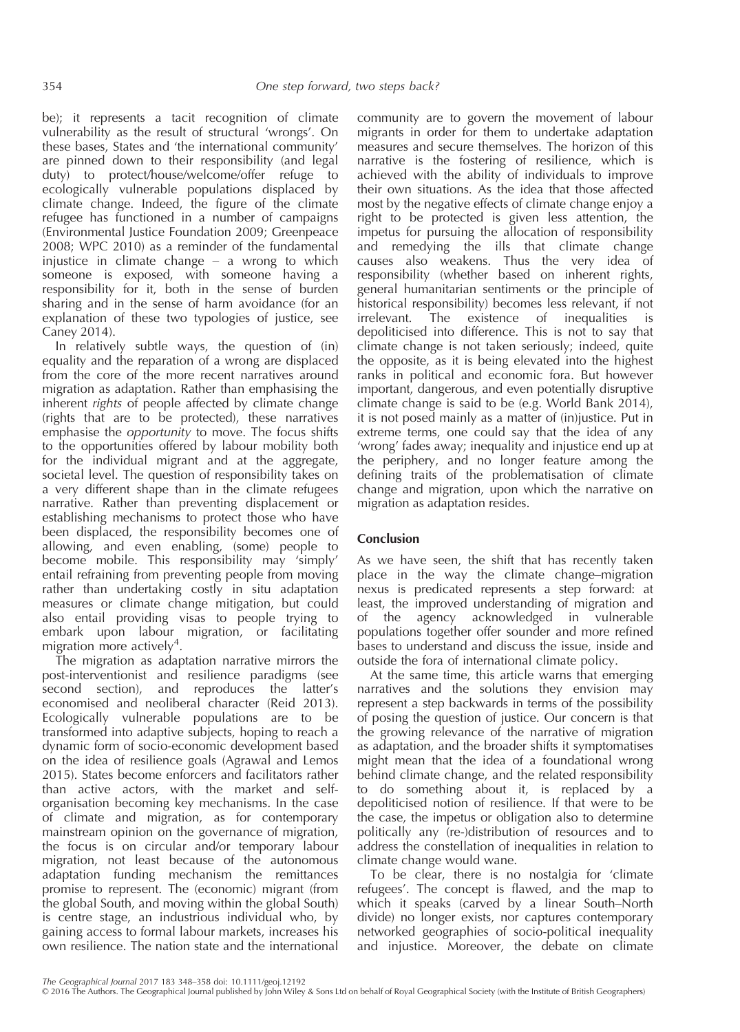be); it represents a tacit recognition of climate vulnerability as the result of structural 'wrongs'. On these bases, States and 'the international community' are pinned down to their responsibility (and legal duty) to protect/house/welcome/offer refuge to ecologically vulnerable populations displaced by climate change. Indeed, the figure of the climate refugee has functioned in a number of campaigns (Environmental Justice Foundation 2009; Greenpeace 2008; WPC 2010) as a reminder of the fundamental injustice in climate change – a wrong to which someone is exposed, with someone having a responsibility for it, both in the sense of burden sharing and in the sense of harm avoidance (for an explanation of these two typologies of justice, see Caney 2014).

In relatively subtle ways, the question of (in) equality and the reparation of a wrong are displaced from the core of the more recent narratives around migration as adaptation. Rather than emphasising the inherent rights of people affected by climate change (rights that are to be protected), these narratives emphasise the opportunity to move. The focus shifts to the opportunities offered by labour mobility both for the individual migrant and at the aggregate, societal level. The question of responsibility takes on a very different shape than in the climate refugees narrative. Rather than preventing displacement or establishing mechanisms to protect those who have been displaced, the responsibility becomes one of allowing, and even enabling, (some) people to become mobile. This responsibility may 'simply' entail refraining from preventing people from moving rather than undertaking costly in situ adaptation measures or climate change mitigation, but could also entail providing visas to people trying to embark upon labour migration, or facilitating<br>migration-more-actively<sup>4</sup>.

The migration as adaptation narrative mirrors the post-interventionist and resilience paradigms (see second section), and reproduces the latter's economised and neoliberal character (Reid 2013). Ecologically vulnerable populations are to be transformed into adaptive subjects, hoping to reach a dynamic form of socio-economic development based on the idea of resilience goals (Agrawal and Lemos 2015). States become enforcers and facilitators rather than active actors, with the market and selforganisation becoming key mechanisms. In the case of climate and migration, as for contemporary mainstream opinion on the governance of migration, the focus is on circular and/or temporary labour migration, not least because of the autonomous adaptation funding mechanism the remittances promise to represent. The (economic) migrant (from the global South, and moving within the global South) is centre stage, an industrious individual who, by gaining access to formal labour markets, increases his own resilience. The nation state and the international

community are to govern the movement of labour migrants in order for them to undertake adaptation measures and secure themselves. The horizon of this narrative is the fostering of resilience, which is achieved with the ability of individuals to improve their own situations. As the idea that those affected most by the negative effects of climate change enjoy a right to be protected is given less attention, the impetus for pursuing the allocation of responsibility and remedying the ills that climate change causes also weakens. Thus the very idea of responsibility (whether based on inherent rights, general humanitarian sentiments or the principle of historical responsibility) becomes less relevant, if not irrelevant. The existence of inequalities is depoliticised into difference. This is not to say that climate change is not taken seriously; indeed, quite the opposite, as it is being elevated into the highest ranks in political and economic fora. But however important, dangerous, and even potentially disruptive climate change is said to be (e.g. World Bank 2014), it is not posed mainly as a matter of (in)justice. Put in extreme terms, one could say that the idea of any 'wrong' fades away; inequality and injustice end up at the periphery, and no longer feature among the defining traits of the problematisation of climate change and migration, upon which the narrative on migration as adaptation resides.

## Conclusion

As we have seen, the shift that has recently taken place in the way the climate change–migration nexus is predicated represents a step forward: at least, the improved understanding of migration and of the agency acknowledged in vulnerable populations together offer sounder and more refined bases to understand and discuss the issue, inside and outside the fora of international climate policy.

At the same time, this article warns that emerging narratives and the solutions they envision may represent a step backwards in terms of the possibility of posing the question of justice. Our concern is that the growing relevance of the narrative of migration as adaptation, and the broader shifts it symptomatises might mean that the idea of a foundational wrong behind climate change, and the related responsibility to do something about it, is replaced by a depoliticised notion of resilience. If that were to be the case, the impetus or obligation also to determine politically any (re-)distribution of resources and to address the constellation of inequalities in relation to climate change would wane.

To be clear, there is no nostalgia for 'climate refugees'. The concept is flawed, and the map to which it speaks (carved by a linear South–North divide) no longer exists, nor captures contemporary networked geographies of socio-political inequality and injustice. Moreover, the debate on climate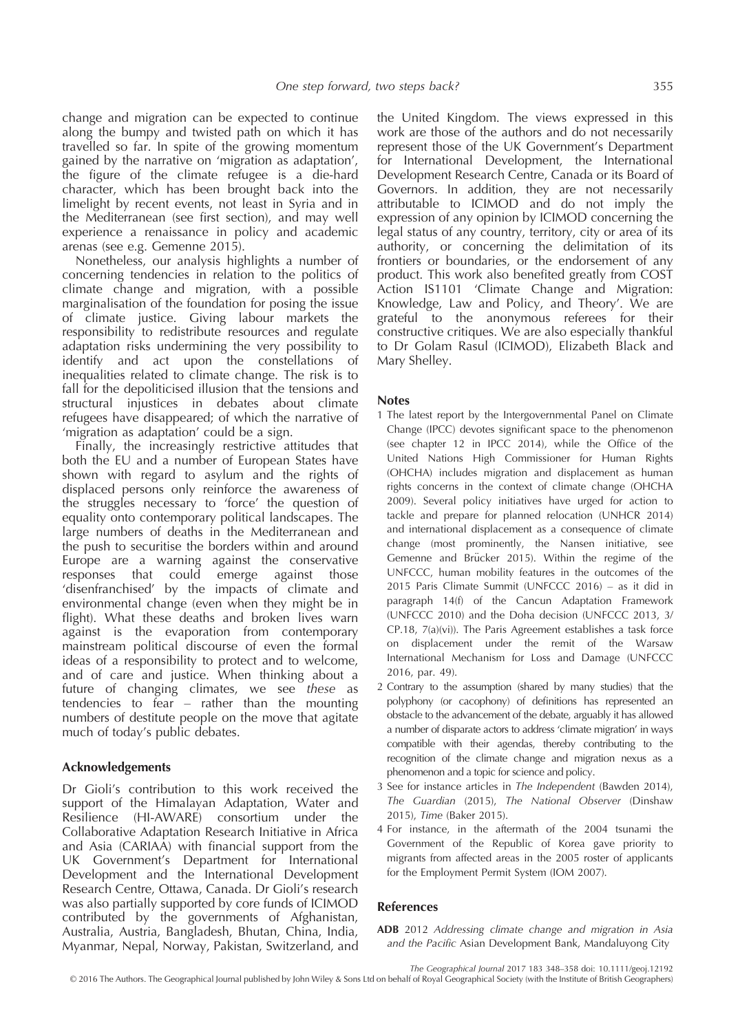change and migration can be expected to continue along the bumpy and twisted path on which it has travelled so far. In spite of the growing momentum gained by the narrative on 'migration as adaptation', the figure of the climate refugee is a die-hard character, which has been brought back into the limelight by recent events, not least in Syria and in the Mediterranean (see first section), and may well experience a renaissance in policy and academic arenas (see e.g. Gemenne 2015).

Nonetheless, our analysis highlights a number of concerning tendencies in relation to the politics of climate change and migration, with a possible marginalisation of the foundation for posing the issue of climate justice. Giving labour markets the responsibility to redistribute resources and regulate adaptation risks undermining the very possibility to identify and act upon the constellations of inequalities related to climate change. The risk is to fall for the depoliticised illusion that the tensions and structural injustices in debates about climate refugees have disappeared; of which the narrative of 'migration as adaptation' could be a sign.

Finally, the increasingly restrictive attitudes that both the EU and a number of European States have shown with regard to asylum and the rights of displaced persons only reinforce the awareness of the struggles necessary to 'force' the question of equality onto contemporary political landscapes. The large numbers of deaths in the Mediterranean and the push to securitise the borders within and around Europe are a warning against the conservative responses that could emerge against those 'disenfranchised' by the impacts of climate and environmental change (even when they might be in flight). What these deaths and broken lives warn against is the evaporation from contemporary mainstream political discourse of even the formal ideas of a responsibility to protect and to welcome, and of care and justice. When thinking about a future of changing climates, we see these as tendencies to fear – rather than the mounting numbers of destitute people on the move that agitate much of today's public debates.

#### Acknowledgements

Dr Gioli's contribution to this work received the support of the Himalayan Adaptation, Water and Resilience (HI-AWARE) consortium under the Collaborative Adaptation Research Initiative in Africa and Asia (CARIAA) with financial support from the UK Government's Department for International Development and the International Development Research Centre, Ottawa, Canada. Dr Gioli's research was also partially supported by core funds of ICIMOD contributed by the governments of Afghanistan, Australia, Austria, Bangladesh, Bhutan, China, India, Myanmar, Nepal, Norway, Pakistan, Switzerland, and

the United Kingdom. The views expressed in this work are those of the authors and do not necessarily represent those of the UK Government's Department for International Development, the International Development Research Centre, Canada or its Board of Governors. In addition, they are not necessarily attributable to ICIMOD and do not imply the expression of any opinion by ICIMOD concerning the legal status of any country, territory, city or area of its authority, or concerning the delimitation of its frontiers or boundaries, or the endorsement of any product. This work also benefited greatly from COST Action IS1101 'Climate Change and Migration: Knowledge, Law and Policy, and Theory'. We are grateful to the anonymous referees for their constructive critiques. We are also especially thankful to Dr Golam Rasul (ICIMOD), Elizabeth Black and Mary Shelley.

#### **Notes**

- 1 The latest report by the Intergovernmental Panel on Climate Change (IPCC) devotes significant space to the phenomenon (see chapter 12 in IPCC 2014), while the Office of the United Nations High Commissioner for Human Rights (OHCHA) includes migration and displacement as human rights concerns in the context of climate change (OHCHA 2009). Several policy initiatives have urged for action to tackle and prepare for planned relocation (UNHCR 2014) and international displacement as a consequence of climate change (most prominently, the Nansen initiative, see Gemenne and Brücker 2015). Within the regime of the UNFCCC, human mobility features in the outcomes of the 2015 Paris Climate Summit (UNFCCC 2016) – as it did in paragraph 14(f) of the Cancun Adaptation Framework (UNFCCC 2010) and the Doha decision (UNFCCC 2013, 3/ CP.18, 7(a)(vi)). The Paris Agreement establishes a task force on displacement under the remit of the Warsaw International Mechanism for Loss and Damage (UNFCCC 2016, par. 49).
- 2 Contrary to the assumption (shared by many studies) that the polyphony (or cacophony) of definitions has represented an obstacle to the advancement of the debate, arguably it has allowed a number of disparate actors to address 'climate migration' in ways compatible with their agendas, thereby contributing to the recognition of the climate change and migration nexus as a phenomenon and a topic for science and policy.
- 3 See for instance articles in The Independent (Bawden 2014), The Guardian (2015), The National Observer (Dinshaw 2015), Time (Baker 2015).
- 4 For instance, in the aftermath of the 2004 tsunami the Government of the Republic of Korea gave priority to migrants from affected areas in the 2005 roster of applicants for the Employment Permit System (IOM 2007).

#### References

ADB 2012 Addressing climate change and migration in Asia and the Pacific Asian Development Bank, Mandaluyong City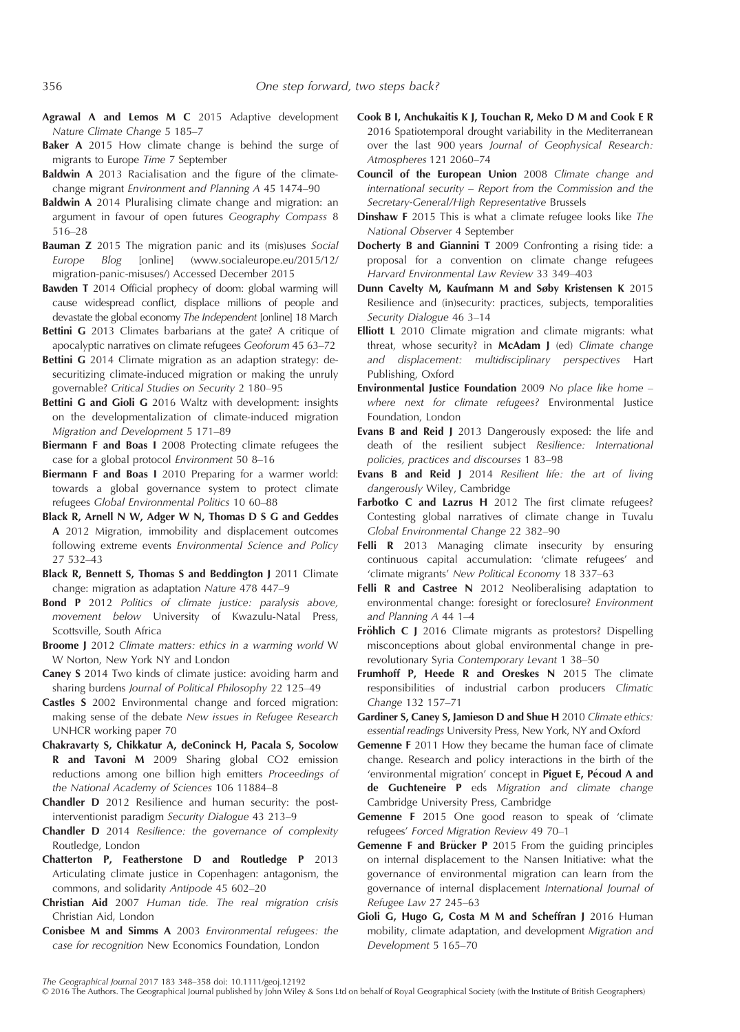- Agrawal A and Lemos M C 2015 Adaptive development Nature Climate Change 5 185–7
- Baker A 2015 How climate change is behind the surge of migrants to Europe Time 7 September
- Baldwin A 2013 Racialisation and the figure of the climatechange migrant Environment and Planning A 45 1474–90
- Baldwin A 2014 Pluralising climate change and migration: an argument in favour of open futures Geography Compass 8 516–28
- Bauman Z 2015 The migration panic and its (mis)uses Social Europe Blog [online] [\(www.socialeurope.eu/2015/12/](http://www.socialeurope.eu/2015/12/migration-panic-misuses/) [migration-panic-misuses/](http://www.socialeurope.eu/2015/12/migration-panic-misuses/)) Accessed December 2015
- Bawden T 2014 Official prophecy of doom: global warming will cause widespread conflict, displace millions of people and devastate the global economy The Independent [online] 18 March
- Bettini G 2013 Climates barbarians at the gate? A critique of apocalyptic narratives on climate refugees Geoforum 45 63–72
- Bettini G 2014 Climate migration as an adaption strategy: desecuritizing climate-induced migration or making the unruly governable? Critical Studies on Security 2 180–95
- Bettini G and Gioli G 2016 Waltz with development: insights on the developmentalization of climate-induced migration Migration and Development 5 171–89
- Biermann F and Boas I 2008 Protecting climate refugees the case for a global protocol Environment 50 8–16
- Biermann F and Boas I 2010 Preparing for a warmer world: towards a global governance system to protect climate refugees Global Environmental Politics 10 60–88
- Black R, Arnell N W, Adger W N, Thomas D S G and Geddes A 2012 Migration, immobility and displacement outcomes following extreme events Environmental Science and Policy 27 532–43
- Black R, Bennett S, Thomas S and Beddington J 2011 Climate change: migration as adaptation Nature 478 447–9
- Bond P 2012 Politics of climate justice: paralysis above, movement below University of Kwazulu-Natal Press, Scottsville, South Africa
- Broome J 2012 Climate matters: ethics in a warming world W W Norton, New York NY and London
- Caney S 2014 Two kinds of climate justice: avoiding harm and sharing burdens Journal of Political Philosophy 22 125–49
- Castles S 2002 Environmental change and forced migration: making sense of the debate New issues in Refugee Research UNHCR working paper 70
- Chakravarty S, Chikkatur A, deConinck H, Pacala S, Socolow R and Tavoni M 2009 Sharing global CO2 emission reductions among one billion high emitters Proceedings of the National Academy of Sciences 106 11884–8
- Chandler D 2012 Resilience and human security: the postinterventionist paradigm Security Dialogue 43 213–9
- Chandler D 2014 Resilience: the governance of complexity Routledge, London
- Chatterton P, Featherstone D and Routledge P 2013 Articulating climate justice in Copenhagen: antagonism, the commons, and solidarity Antipode 45 602–20
- Christian Aid 2007 Human tide. The real migration crisis Christian Aid, London

Conisbee M and Simms A 2003 Environmental refugees: the case for recognition New Economics Foundation, London

- Cook B I, Anchukaitis K J, Touchan R, Meko D M and Cook E R 2016 Spatiotemporal drought variability in the Mediterranean over the last 900 years Journal of Geophysical Research: Atmospheres 121 2060–74
- Council of the European Union 2008 Climate change and international security – Report from the Commission and the Secretary-General/High Representative Brussels
- Dinshaw F 2015 This is what a climate refugee looks like The National Observer 4 September
- Docherty B and Giannini T 2009 Confronting a rising tide: a proposal for a convention on climate change refugees Harvard Environmental Law Review 33 349–403
- Dunn Cavelty M, Kaufmann M and Søby Kristensen K 2015 Resilience and (in)security: practices, subjects, temporalities Security Dialogue 46 3–14
- Elliott L 2010 Climate migration and climate migrants: what threat, whose security? in McAdam J (ed) Climate change and displacement: multidisciplinary perspectives Hart Publishing, Oxford
- Environmental Justice Foundation 2009 No place like home where next for climate refugees? Environmental Justice Foundation, London
- Evans B and Reid J 2013 Dangerously exposed: the life and death of the resilient subject Resilience: International policies, practices and discourses 1 83–98
- Evans B and Reid J 2014 Resilient life: the art of living dangerously Wiley, Cambridge
- Farbotko C and Lazrus H 2012 The first climate refugees? Contesting global narratives of climate change in Tuvalu Global Environmental Change 22 382–90
- Felli R 2013 Managing climate insecurity by ensuring continuous capital accumulation: 'climate refugees' and 'climate migrants' New Political Economy 18 337–63
- Felli R and Castree N 2012 Neoliberalising adaptation to environmental change: foresight or foreclosure? Environment and Planning A 44 1–4
- Fröhlich C J 2016 Climate migrants as protestors? Dispelling misconceptions about global environmental change in prerevolutionary Syria Contemporary Levant 1 38–50
- Frumhoff P, Heede R and Oreskes N 2015 The climate responsibilities of industrial carbon producers Climatic Change 132 157–71
- Gardiner S, Caney S, Jamieson D and Shue H 2010 Climate ethics: essential readings University Press, New York, NY and Oxford
- Gemenne F 2011 How they became the human face of climate change. Research and policy interactions in the birth of the 'environmental migration' concept in Piguet E, Pécoud A and de Guchteneire P eds Migration and climate change Cambridge University Press, Cambridge
- Gemenne F 2015 One good reason to speak of 'climate refugees' Forced Migration Review 49 70–1
- Gemenne F and Brücker P 2015 From the guiding principles on internal displacement to the Nansen Initiative: what the governance of environmental migration can learn from the governance of internal displacement International Journal of Refugee Law 27 245–63
- Gioli G, Hugo G, Costa M M and Scheffran J 2016 Human mobility, climate adaptation, and development Migration and Development 5 165–70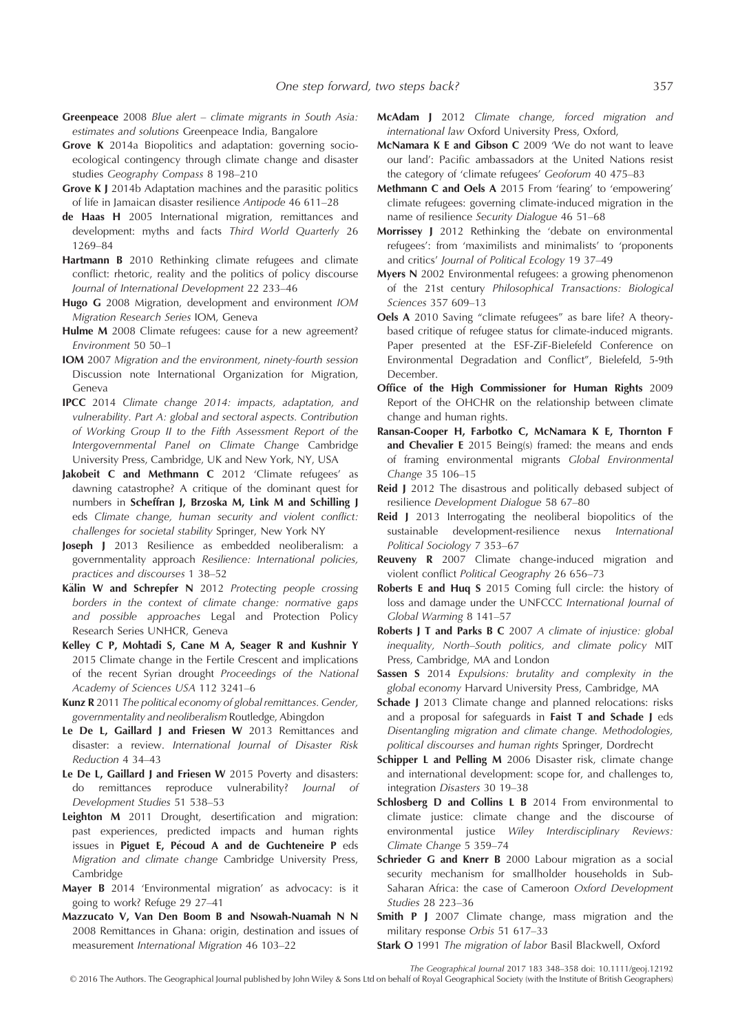- Greenpeace 2008 Blue alert climate migrants in South Asia: estimates and solutions Greenpeace India, Bangalore
- Grove K 2014a Biopolitics and adaptation: governing socioecological contingency through climate change and disaster studies Geography Compass 8 198–210
- Grove K J 2014b Adaptation machines and the parasitic politics of life in Jamaican disaster resilience Antipode 46 611–28
- de Haas H 2005 International migration, remittances and development: myths and facts Third World Quarterly 26 1269–84
- Hartmann B 2010 Rethinking climate refugees and climate conflict: rhetoric, reality and the politics of policy discourse Journal of International Development 22 233–46
- Hugo G 2008 Migration, development and environment IOM Migration Research Series IOM, Geneva
- Hulme M 2008 Climate refugees: cause for a new agreement? Environment 50 50–1
- IOM 2007 Migration and the environment, ninety-fourth session Discussion note International Organization for Migration, Geneva
- IPCC 2014 Climate change 2014: impacts, adaptation, and vulnerability. Part A: global and sectoral aspects. Contribution of Working Group II to the Fifth Assessment Report of the Intergovernmental Panel on Climate Change Cambridge University Press, Cambridge, UK and New York, NY, USA
- Jakobeit C and Methmann C 2012 'Climate refugees' as dawning catastrophe? A critique of the dominant quest for numbers in Scheffran J, Brzoska M, Link M and Schilling J eds Climate change, human security and violent conflict: challenges for societal stability Springer, New York NY
- Joseph J 2013 Resilience as embedded neoliberalism: a governmentality approach Resilience: International policies, practices and discourses 1 38–52
- Kälin W and Schrepfer N 2012 Protecting people crossing borders in the context of climate change: normative gaps and possible approaches Legal and Protection Policy Research Series UNHCR, Geneva
- Kelley C P, Mohtadi S, Cane M A, Seager R and Kushnir Y 2015 Climate change in the Fertile Crescent and implications of the recent Syrian drought Proceedings of the National Academy of Sciences USA 112 3241–6
- Kunz R 2011 The political economy of global remittances. Gender, governmentality and neoliberalism Routledge, Abingdon
- Le De L, Gaillard J and Friesen W 2013 Remittances and disaster: a review. International Journal of Disaster Risk Reduction 4 34–43
- Le De L, Gaillard J and Friesen W 2015 Poverty and disasters: do remittances reproduce vulnerability? Journal of Development Studies 51 538–53
- Leighton M 2011 Drought, desertification and migration: past experiences, predicted impacts and human rights issues in Piguet E, Pécoud A and de Guchteneire P eds Migration and climate change Cambridge University Press, Cambridge
- Mayer B 2014 'Environmental migration' as advocacy: is it going to work? Refuge 29 27–41
- Mazzucato V, Van Den Boom B and Nsowah-Nuamah N N 2008 Remittances in Ghana: origin, destination and issues of measurement International Migration 46 103–22
- McAdam J 2012 Climate change, forced migration and international law Oxford University Press, Oxford,
- McNamara K E and Gibson C 2009 'We do not want to leave our land': Pacific ambassadors at the United Nations resist the category of 'climate refugees' Geoforum 40 475–83
- Methmann C and Oels A 2015 From 'fearing' to 'empowering' climate refugees: governing climate-induced migration in the name of resilience Security Dialogue 46 51–68
- Morrissey J 2012 Rethinking the 'debate on environmental refugees': from 'maximilists and minimalists' to 'proponents and critics' Journal of Political Ecology 19 37–49
- Myers N 2002 Environmental refugees: a growing phenomenon of the 21st century Philosophical Transactions: Biological Sciences 357 609–13
- Oels A 2010 Saving "climate refugees" as bare life? A theorybased critique of refugee status for climate-induced migrants. Paper presented at the ESF-ZiF-Bielefeld Conference on Environmental Degradation and Conflict", Bielefeld, 5-9th December.
- Office of the High Commissioner for Human Rights 2009 Report of the OHCHR on the relationship between climate change and human rights.
- Ransan-Cooper H, Farbotko C, McNamara K E, Thornton F and Chevalier E 2015 Being(s) framed: the means and ends of framing environmental migrants Global Environmental Change 35 106–15
- Reid J 2012 The disastrous and politically debased subject of resilience Development Dialogue 58 67–80
- Reid J 2013 Interrogating the neoliberal biopolitics of the sustainable development-resilience nexus International Political Sociology 7 353–67
- Reuveny R 2007 Climate change-induced migration and violent conflict Political Geography 26 656–73
- Roberts E and Huq S 2015 Coming full circle: the history of loss and damage under the UNFCCC International Journal of Global Warming 8 141–57
- Roberts J T and Parks B C 2007 A climate of injustice: global inequality, North–South politics, and climate policy MIT Press, Cambridge, MA and London
- Sassen S 2014 Expulsions: brutality and complexity in the global economy Harvard University Press, Cambridge, MA
- Schade J 2013 Climate change and planned relocations: risks and a proposal for safeguards in Faist T and Schade J eds Disentangling migration and climate change. Methodologies, political discourses and human rights Springer, Dordrecht
- Schipper L and Pelling M 2006 Disaster risk, climate change and international development: scope for, and challenges to, integration Disasters 30 19–38
- Schlosberg D and Collins L B 2014 From environmental to climate justice: climate change and the discourse of environmental justice Wiley Interdisciplinary Reviews: Climate Change 5 359–74
- Schrieder G and Knerr B 2000 Labour migration as a social security mechanism for smallholder households in Sub-Saharan Africa: the case of Cameroon Oxford Development Studies 28 223–36
- Smith P J 2007 Climate change, mass migration and the military response Orbis 51 617–33
- Stark O 1991 The migration of labor Basil Blackwell, Oxford

The Geographical Journal 2017 183 348–358 doi: 10.1111/geoj.12192 © 2016 The Authors. The Geographical Journal published by John Wiley & Sons Ltd on behalf of Royal Geographical Society (with the Institute of British Geographers)